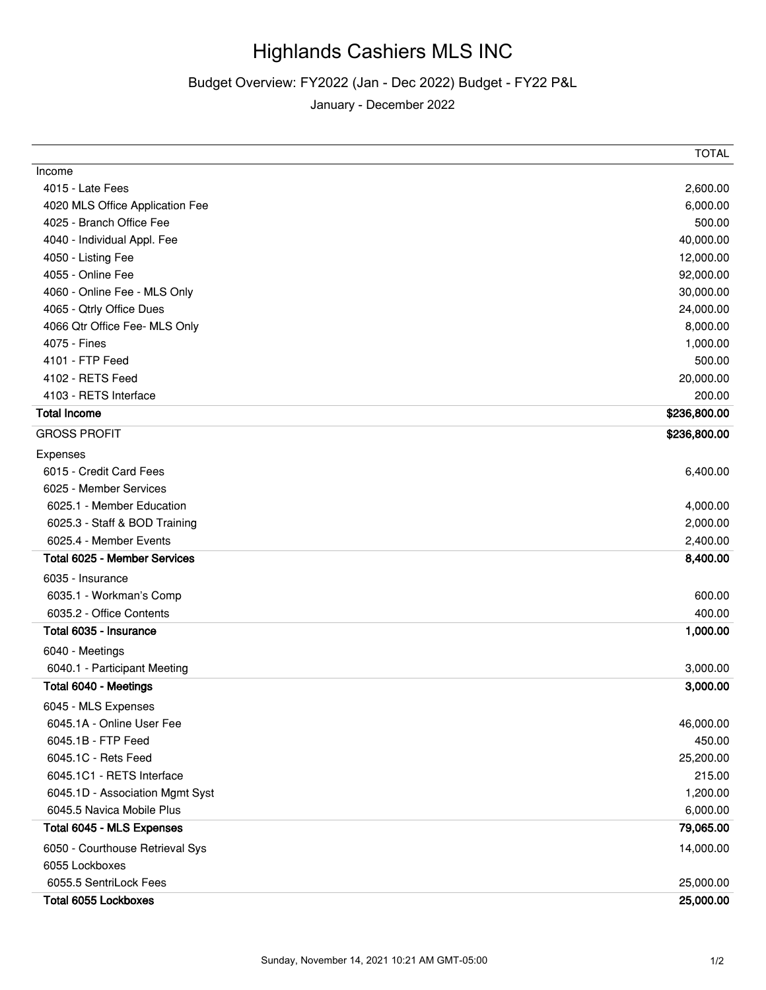## Highlands Cashiers MLS INC

## Budget Overview: FY2022 (Jan - Dec 2022) Budget - FY22 P&L

January - December 2022

|                                     | <b>IUIAL</b> |
|-------------------------------------|--------------|
| Income                              |              |
| 4015 - Late Fees                    | 2,600.00     |
| 4020 MLS Office Application Fee     | 6,000.00     |
| 4025 - Branch Office Fee            | 500.00       |
| 4040 - Individual Appl. Fee         | 40,000.00    |
| 4050 - Listing Fee                  | 12,000.00    |
| 4055 - Online Fee                   | 92,000.00    |
| 4060 - Online Fee - MLS Only        | 30,000.00    |
| 4065 - Qtrly Office Dues            | 24,000.00    |
| 4066 Qtr Office Fee- MLS Only       | 8,000.00     |
| 4075 - Fines                        | 1,000.00     |
| 4101 - FTP Feed                     | 500.00       |
| 4102 - RETS Feed                    | 20,000.00    |
| 4103 - RETS Interface               | 200.00       |
| <b>Total Income</b>                 | \$236,800.00 |
| <b>GROSS PROFIT</b>                 | \$236,800.00 |
| Expenses                            |              |
| 6015 - Credit Card Fees             | 6,400.00     |
| 6025 - Member Services              |              |
| 6025.1 - Member Education           | 4,000.00     |
| 6025.3 - Staff & BOD Training       | 2,000.00     |
| 6025.4 - Member Events              | 2,400.00     |
| <b>Total 6025 - Member Services</b> | 8,400.00     |
| 6035 - Insurance                    |              |
| 6035.1 - Workman's Comp             | 600.00       |
| 6035.2 - Office Contents            | 400.00       |
| Total 6035 - Insurance              | 1,000.00     |
| 6040 - Meetings                     |              |
| 6040.1 - Participant Meeting        | 3,000.00     |
| Total 6040 - Meetings               | 3,000.00     |
| 6045 - MLS Expenses                 |              |
| 6045.1A - Online User Fee           | 46,000.00    |
| 6045.1B - FTP Feed                  | 450.00       |
| 6045.1C - Rets Feed                 | 25,200.00    |
| 6045.1C1 - RETS Interface           | 215.00       |
| 6045.1D - Association Mgmt Syst     | 1,200.00     |
| 6045.5 Navica Mobile Plus           | 6,000.00     |
| Total 6045 - MLS Expenses           | 79,065.00    |
| 6050 - Courthouse Retrieval Sys     | 14,000.00    |
| 6055 Lockboxes                      |              |
| 6055.5 SentriLock Fees              | 25,000.00    |
| Total 6055 Lockboxes                | 25,000.00    |
|                                     |              |

 $T$  $T$  $T$  $N$